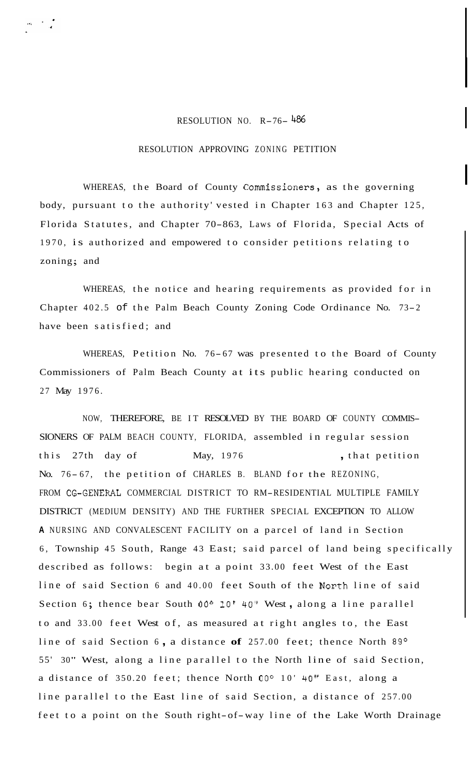## RESOLUTION NO. R-76- <sup>486</sup>

## RESOLUTION APPROVING ZONING PETITION

WHEREAS, the Board of County Commissioners, as the governing body, pursuant to the authority' vested in Chapter 163 and Chapter 125, Florida Statutes, and Chapter 70-863, Laws of Florida, Special Acts of 1970, is authorized and empowered to consider petitions relating to zoning; and

WHEREAS, the notice and hearing requirements as provided for in Chapter 402.5 of the Palm Beach County Zoning Code Ordinance No. 73-2 have been satisfied; and

WHEREAS, Petition No. 76-67 was presented to the Board of County Commissioners of Palm Beach County at its public hearing conducted on 27 May 1976.

NOW, THEREFORE, BE IT RESOLVED BY THE BOARD OF COUNTY COMMIS-SIONERS OF PALM BEACH COUNTY, FLORIDA, assembled in regular session this 27th day of May, 1976 , that petition No. 76-67, the petition of CHARLES B. BLAND for the REZONING, FROM CG-GENERAL COMMERCIAL DISTRICT TO RM-RESIDENTIAL MULTIPLE FAMILY DISTRICT (MEDIUM DENSITY) AND THE FURTHER SPECIAL EXCEPTION TO ALLOW **<sup>A</sup>**NURSING AND CONVALESCENT FACILITY on a parcel of land in Section 6, Township 45 South, Range 43 East; said parcel of land being specifically described as follows: begin at a point 33.00 feet West of the East line of said Section 6 and 40.00 feet South of the North line of said Section 6; thence bear South 00° 10' 40" West, along a line parallel to and 33.00 feet West of, as measured at right angles to, the East line of said Section 6, a distance of 257.00 feet; thence North 89° 55' 30" West, along a line parallel to the North line of said Section, a distance of 350.20 feet; thence North **OOo** 10' 40" East, along a line parallel to the East line of said Section, a distance of 257.00 feet to a point on the South right-of-way line of the Lake Worth Drainage